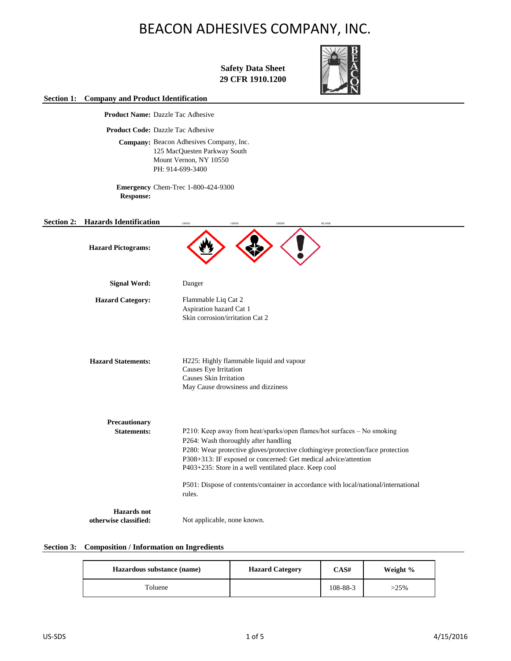**Safety Data Sheet 29 CFR 1910.1200**



**Section 1: Company and Product Identification**

**Product Name:** Dazzle Tac Adhesive

**Product Code:** Dazzle Tac Adhesive

Company: Beacon Adhesives Company, Inc. 125 MacQuesten Parkway South Mount Vernon, NY 10550 PH: 914-699-3400

**Emergency**  Chem-Trec 1-800-424-9300 **Response:**

| <b>Section 2:</b> | <b>Hazards Identification</b>               | GHS02<br>GHS05<br><b>BLANK</b><br>GHS08                                                                                                                                                                                                                                                                                       |
|-------------------|---------------------------------------------|-------------------------------------------------------------------------------------------------------------------------------------------------------------------------------------------------------------------------------------------------------------------------------------------------------------------------------|
|                   | <b>Hazard Pictograms:</b>                   |                                                                                                                                                                                                                                                                                                                               |
|                   | <b>Signal Word:</b>                         | Danger                                                                                                                                                                                                                                                                                                                        |
|                   | <b>Hazard Category:</b>                     | Flammable Liq Cat 2<br>Aspiration hazard Cat 1<br>Skin corrosion/irritation Cat 2                                                                                                                                                                                                                                             |
|                   | <b>Hazard Statements:</b>                   | H225: Highly flammable liquid and vapour<br>Causes Eye Irritation<br>Causes Skin Irritation<br>May Cause drowsiness and dizziness                                                                                                                                                                                             |
|                   | Precautionary<br><b>Statements:</b>         | P210: Keep away from heat/sparks/open flames/hot surfaces - No smoking<br>P264: Wash thoroughly after handling<br>P280: Wear protective gloves/protective clothing/eye protection/face protection<br>P308+313: IF exposed or concerned: Get medical advice/attention<br>P403+235: Store in a well ventilated place. Keep cool |
|                   |                                             | P501: Dispose of contents/container in accordance with local/national/international<br>rules.                                                                                                                                                                                                                                 |
|                   | <b>Hazards</b> not<br>otherwise classified: | Not applicable, none known.                                                                                                                                                                                                                                                                                                   |

## **Section 3: Composition / Information on Ingredients**

| Hazardous substance (name) | <b>Hazard Category</b> | CAS#     | Weight % |
|----------------------------|------------------------|----------|----------|
| Toluene                    |                        | 108-88-3 | >25%     |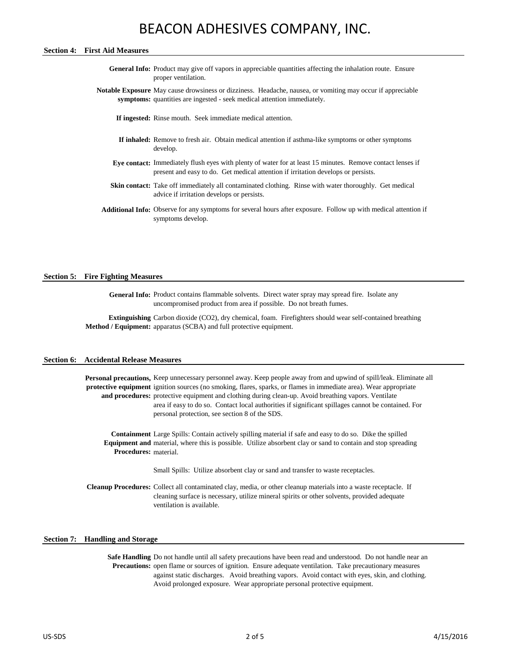### **Section 4: First Aid Measures**

- General Info: Product may give off vapors in appreciable quantities affecting the inhalation route. Ensure proper ventilation.
- **Notable Exposure**  May cause drowsiness or dizziness. Headache, nausea, or vomiting may occur if appreciable symptoms: quantities are ingested - seek medical attention immediately.

**If ingested:** Rinse mouth. Seek immediate medical attention.

- **If inhaled:** Remove to fresh air. Obtain medical attention if asthma-like symptoms or other symptoms develop.
- **Eye contact:** Immediately flush eyes with plenty of water for at least 15 minutes. Remove contact lenses if present and easy to do. Get medical attention if irritation develops or persists.
- Skin contact: Take off immediately all contaminated clothing. Rinse with water thoroughly. Get medical advice if irritation develops or persists.
- **Additional Info:** Observe for any symptoms for several hours after exposure. Follow up with medical attention if symptoms develop.

#### **Section 5: Fire Fighting Measures**

General Info: Product contains flammable solvents. Direct water spray may spread fire. Isolate any uncompromised product from area if possible. Do not breath fumes.

**Extinguishing**  Carbon dioxide (CO2), dry chemical, foam. Firefighters should wear self-contained breathing **Method / Equipment:** apparatus (SCBA) and full protective equipment.

### **Section 6: Accidental Release Measures**

Personal precautions, Keep unnecessary personnel away. Keep people away from and upwind of spill/leak. Eliminate all protective equipment ignition sources (no smoking, flares, sparks, or flames in immediate area). Wear appropriate and procedures: protective equipment and clothing during clean-up. Avoid breathing vapors. Ventilate area if easy to do so. Contact local authorities if significant spillages cannot be contained. For personal protection, see section 8 of the SDS.

**Containment**  Large Spills: Contain actively spilling material if safe and easy to do so. Dike the spilled **Equipment and**  material, where this is possible. Utilize absorbent clay or sand to contain and stop spreading **Procedures:** material.

Small Spills: Utilize absorbent clay or sand and transfer to waste receptacles.

**Cleanup Procedures:** Collect all contaminated clay, media, or other cleanup materials into a waste receptacle. If cleaning surface is necessary, utilize mineral spirits or other solvents, provided adequate ventilation is available.

#### **Section 7: Handling and Storage**

Safe Handling Do not handle until all safety precautions have been read and understood. Do not handle near an Precautions: open flame or sources of ignition. Ensure adequate ventilation. Take precautionary measures against static discharges. Avoid breathing vapors. Avoid contact with eyes, skin, and clothing. Avoid prolonged exposure. Wear appropriate personal protective equipment.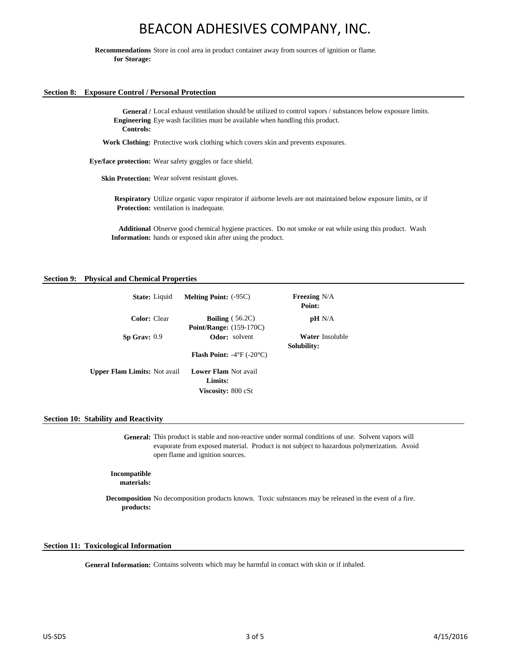**Recommendations**  Store in cool area in product container away from sources of ignition or flame. **for Storage:**

### **Section 8: Exposure Control / Personal Protection**

General / Local exhaust ventilation should be utilized to control vapors / substances below exposure limits. **Engineering** Eye wash facilities must be available when handling this product. **Controls:**

**Work Clothing:** Protective work clothing which covers skin and prevents exposures.

**Eye/face protection:** Wear safety goggles or face shield.

**Skin Protection:** Wear solvent resistant gloves.

**Respiratory**  Utilize organic vapor respirator if airborne levels are not maintained below exposure limits, or if Protection: ventilation is inadequate.

**Additional**  Observe good chemical hygiene practices. Do not smoke or eat while using this product. Wash **Information:** hands or exposed skin after using the product.

### **Section 9: Physical and Chemical Properties**

| <b>State:</b> Liquid                | <b>Melting Point:</b> (-95C)                    | <b>Freezing N/A</b><br>Point: |
|-------------------------------------|-------------------------------------------------|-------------------------------|
| Color: Clear                        | <b>Boiling</b> $(56.2C)$                        | pH N/A                        |
|                                     | <b>Point/Range:</b> (159-170C)                  |                               |
| $Sp$ Grav: $0.9$                    | <b>Odor:</b> solvent                            | <b>Water Insoluble</b>        |
|                                     |                                                 | Solubility:                   |
|                                     | <b>Flash Point:</b> $-4^{\circ}F(-20^{\circ}C)$ |                               |
| <b>Upper Flam Limits:</b> Not avail | <b>Lower Flam Not avail</b>                     |                               |
|                                     | Limits:                                         |                               |
|                                     | <b>Viscosity:</b> 800 cSt                       |                               |

### **Section 10: Stability and Reactivity**

**General:** This product is stable and non-reactive under normal conditions of use. Solvent vapors will evaporate from exposed material. Product is not subject to hazardous polymerization. Avoid open flame and ignition sources.

**Incompatible** 

**materials:**

**Decomposition**  No decomposition products known. Toxic substances may be released in the event of a fire. **products:**

### **Section 11: Toxicological Information**

General Information: Contains solvents which may be harmful in contact with skin or if inhaled.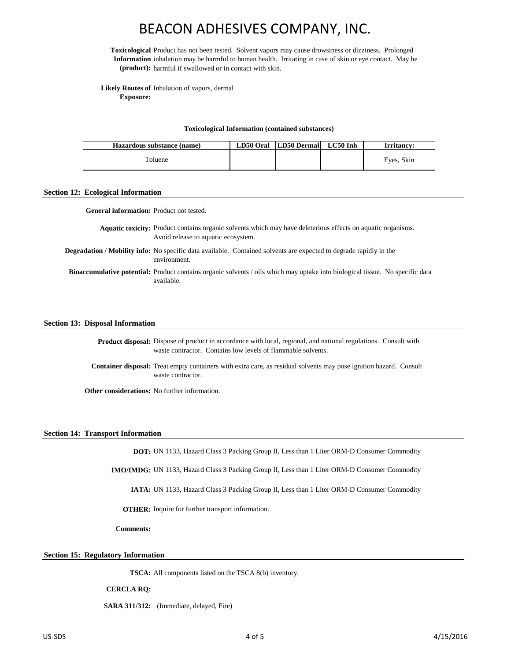**Toxicological**  Product has not been tested. Solvent vapors may cause drowsiness or dizziness. Prolonged **Information**  inhalation may be harmful to human health. Irritating in case of skin or eye contact. May be **(product):** harmful if swallowed or in contact with skin.

**Likely Routes of**  Inhalation of vapors, dermal **Exposure:**

#### **Toxicological Information (contained substances)**

| Hazardous substance (name) | LD50 Oral LD50 Dermal LC50 Inh | Irritancy: |
|----------------------------|--------------------------------|------------|
| Toluene                    |                                | Eyes, Skin |

#### **Section 12: Ecological Information**

**General information:** Product not tested.

Aquatic toxicity: Product contains organic solvents which may have deleterious effects on aquatic organisms. Avoid release to aquatic ecosystem.

Degradation / Mobility info: No specific data available. Contained solvents are expected to degrade rapidly in the environment.

Bioaccumulative potential: Product contains organic solvents / oils which may uptake into biological tissue. No specific data available.

#### **Section 13: Disposal Information**

Product disposal: Dispose of product in accordance with local, regional, and national regulations. Consult with waste contractor. Contains low levels of flammable solvents.

**Container disposal:** Treat empty containers with extra care, as residual solvents may pose ignition hazard. Consult waste contractor.

**Other considerations:** No further information.

#### **Section 14: Transport Information**

**DOT:** UN 1133, Hazard Class 3 Packing Group II, Less than 1 Liter ORM-D Consumer Commodity

**IMO/IMDG:** UN 1133, Hazard Class 3 Packing Group II, Less than 1 Liter ORM-D Consumer Commodity

**IATA:** UN 1133, Hazard Class 3 Packing Group II, Less than 1 Liter ORM-D Consumer Commodity

**OTHER:** Inquire for further transport information.

**Comments:**

### **Section 15: Regulatory Information**

**TSCA:** All components listed on the TSCA 8(b) inventory.

**CERCLA RQ:**

**SARA 311/312:** (Immediate, delayed, Fire)